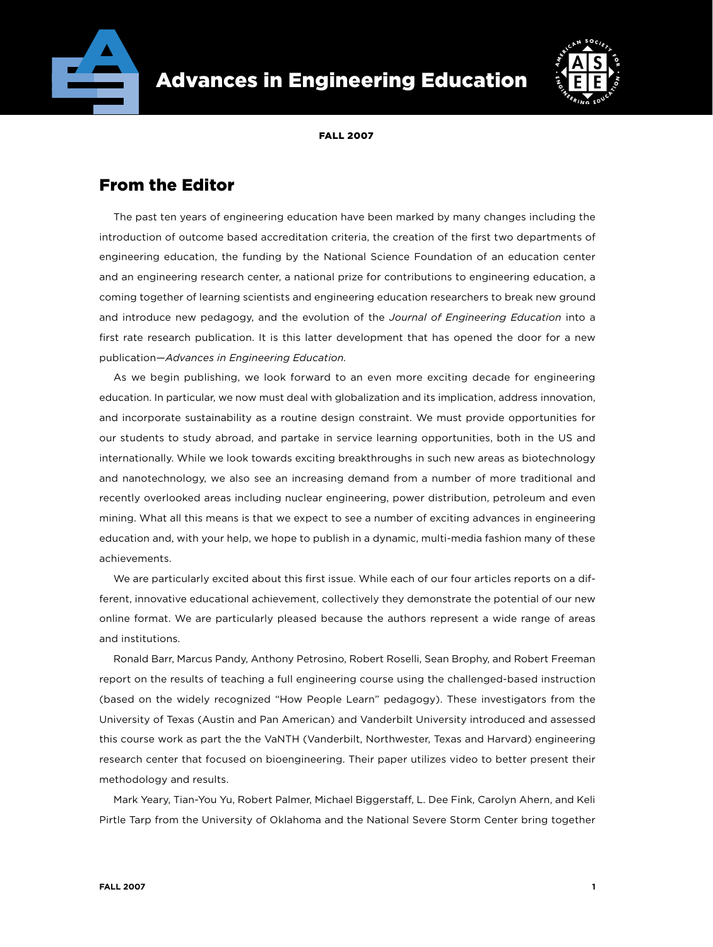



Fall 2007

## From the Editor

The past ten years of engineering education have been marked by many changes including the introduction of outcome based accreditation criteria, the creation of the first two departments of engineering education, the funding by the National Science Foundation of an education center and an engineering research center, a national prize for contributions to engineering education, a coming together of learning scientists and engineering education researchers to break new ground and introduce new pedagogy, and the evolution of the *Journal of Engineering Education* into a first rate research publication. It is this latter development that has opened the door for a new publication—*Advances in Engineering Education.*

As we begin publishing, we look forward to an even more exciting decade for engineering education. In particular, we now must deal with globalization and its implication, address innovation, and incorporate sustainability as a routine design constraint. We must provide opportunities for our students to study abroad, and partake in service learning opportunities, both in the US and internationally. While we look towards exciting breakthroughs in such new areas as biotechnology and nanotechnology, we also see an increasing demand from a number of more traditional and recently overlooked areas including nuclear engineering, power distribution, petroleum and even mining. What all this means is that we expect to see a number of exciting advances in engineering education and, with your help, we hope to publish in a dynamic, multi-media fashion many of these achievements.

We are particularly excited about this first issue. While each of our four articles reports on a different, innovative educational achievement, collectively they demonstrate the potential of our new online format. We are particularly pleased because the authors represent a wide range of areas and institutions.

Ronald Barr, Marcus Pandy, Anthony Petrosino, Robert Roselli, Sean Brophy, and Robert Freeman report on the results of teaching a full engineering course using the challenged-based instruction (based on the widely recognized "How People Learn" pedagogy). These investigators from the University of Texas (Austin and Pan American) and Vanderbilt University introduced and assessed this course work as part the the VaNTH (Vanderbilt, Northwester, Texas and Harvard) engineering research center that focused on bioengineering. Their paper utilizes video to better present their methodology and results.

Mark Yeary, Tian-You Yu, Robert Palmer, Michael Biggerstaff, L. Dee Fink, Carolyn Ahern, and Keli Pirtle Tarp from the University of Oklahoma and the National Severe Storm Center bring together